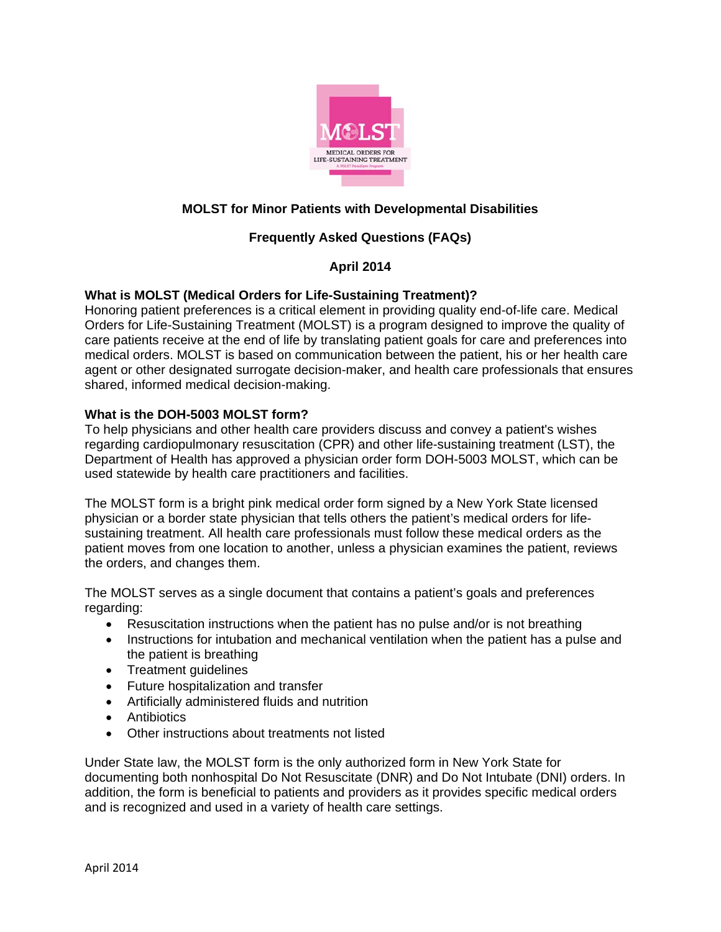

# **MOLST for Minor Patients with Developmental Disabilities**

# **Frequently Asked Questions (FAQs)**

# **April 2014**

# **What is MOLST (Medical Orders for Life-Sustaining Treatment)?**

Honoring patient preferences is a critical element in providing quality end-of-life care. Medical Orders for Life-Sustaining Treatment (MOLST) is a program designed to improve the quality of care patients receive at the end of life by translating patient goals for care and preferences into medical orders. MOLST is based on communication between the patient, his or her health care agent or other designated surrogate decision-maker, and health care professionals that ensures shared, informed medical decision-making.

# **What is the DOH-5003 MOLST form?**

To help physicians and other health care providers discuss and convey a patient's wishes regarding cardiopulmonary resuscitation (CPR) and other life-sustaining treatment (LST), the Department of Health has approved a physician order form DOH-5003 MOLST, which can be used statewide by health care practitioners and facilities.

The MOLST form is a bright pink medical order form signed by a New York State licensed physician or a border state physician that tells others the patient's medical orders for lifesustaining treatment. All health care professionals must follow these medical orders as the patient moves from one location to another, unless a physician examines the patient, reviews the orders, and changes them.

The MOLST serves as a single document that contains a patient's goals and preferences regarding:

- Resuscitation instructions when the patient has no pulse and/or is not breathing
- Instructions for intubation and mechanical ventilation when the patient has a pulse and the patient is breathing
- Treatment quidelines
- Future hospitalization and transfer
- Artificially administered fluids and nutrition
- Antibiotics
- Other instructions about treatments not listed

Under State law, the MOLST form is the only authorized form in New York State for documenting both nonhospital Do Not Resuscitate (DNR) and Do Not Intubate (DNI) orders. In addition, the form is beneficial to patients and providers as it provides specific medical orders and is recognized and used in a variety of health care settings.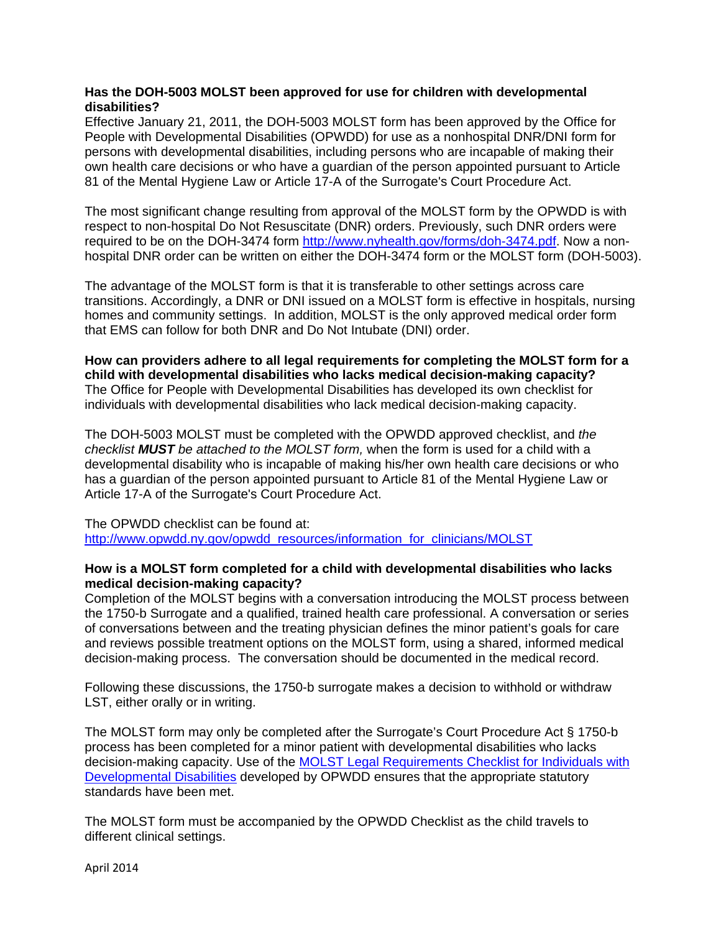# **Has the DOH-5003 MOLST been approved for use for children with developmental disabilities?**

Effective January 21, 2011, the DOH-5003 MOLST form has been approved by the Office for People with Developmental Disabilities (OPWDD) for use as a nonhospital DNR/DNI form for persons with developmental disabilities, including persons who are incapable of making their own health care decisions or who have a guardian of the person appointed pursuant to Article 81 of the Mental Hygiene Law or Article 17-A of the Surrogate's Court Procedure Act.

The most significant change resulting from approval of the MOLST form by the OPWDD is with respect to non-hospital Do Not Resuscitate (DNR) orders. Previously, such DNR orders were required to be on the DOH-3474 form http://www.nyhealth.gov/forms/doh-3474.pdf. Now a nonhospital DNR order can be written on either the DOH-3474 form or the MOLST form (DOH-5003).

The advantage of the MOLST form is that it is transferable to other settings across care transitions. Accordingly, a DNR or DNI issued on a MOLST form is effective in hospitals, nursing homes and community settings. In addition, MOLST is the only approved medical order form that EMS can follow for both DNR and Do Not Intubate (DNI) order.

**How can providers adhere to all legal requirements for completing the MOLST form for a child with developmental disabilities who lacks medical decision-making capacity?**  The Office for People with Developmental Disabilities has developed its own checklist for individuals with developmental disabilities who lack medical decision-making capacity.

The DOH-5003 MOLST must be completed with the OPWDD approved checklist, and *the checklist MUST be attached to the MOLST form,* when the form is used for a child with a developmental disability who is incapable of making his/her own health care decisions or who has a guardian of the person appointed pursuant to Article 81 of the Mental Hygiene Law or Article 17-A of the Surrogate's Court Procedure Act.

The OPWDD checklist can be found at: http://www.opwdd.ny.gov/opwdd\_resources/information\_for\_clinicians/MOLST

# **How is a MOLST form completed for a child with developmental disabilities who lacks medical decision-making capacity?**

Completion of the MOLST begins with a conversation introducing the MOLST process between the 1750-b Surrogate and a qualified, trained health care professional. A conversation or series of conversations between and the treating physician defines the minor patient's goals for care and reviews possible treatment options on the MOLST form, using a shared, informed medical decision-making process. The conversation should be documented in the medical record.

Following these discussions, the 1750-b surrogate makes a decision to withhold or withdraw LST, either orally or in writing.

The MOLST form may only be completed after the Surrogate's Court Procedure Act § 1750-b process has been completed for a minor patient with developmental disabilities who lacks decision-making capacity. Use of the MOLST Legal Requirements Checklist for Individuals with Developmental Disabilities developed by OPWDD ensures that the appropriate statutory standards have been met.

The MOLST form must be accompanied by the OPWDD Checklist as the child travels to different clinical settings.

April 2014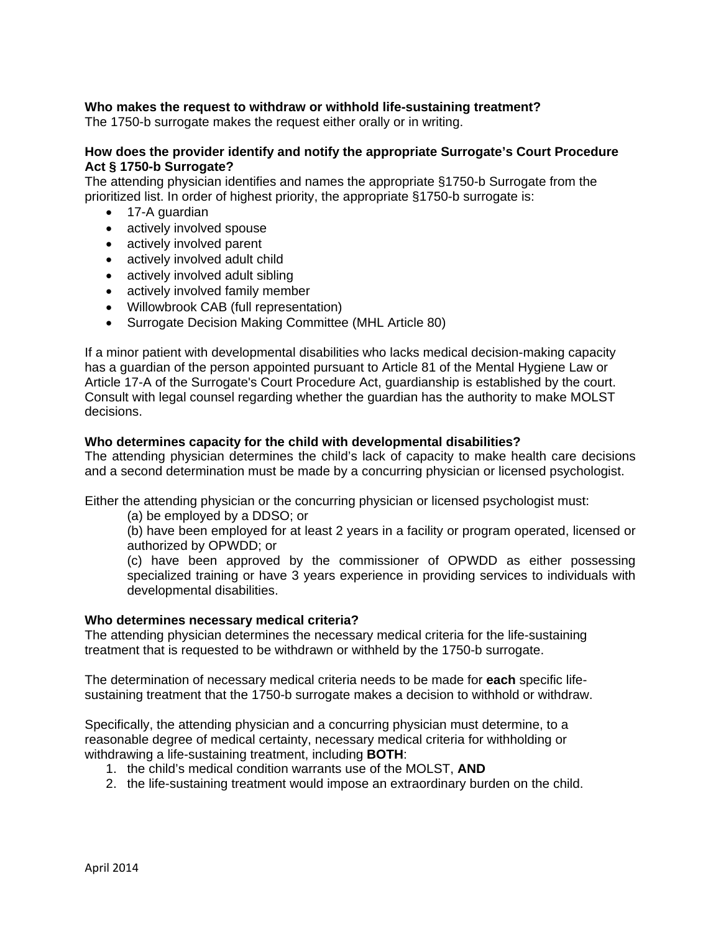# **Who makes the request to withdraw or withhold life-sustaining treatment?**

The 1750-b surrogate makes the request either orally or in writing.

# **How does the provider identify and notify the appropriate Surrogate's Court Procedure Act § 1750-b Surrogate?**

The attending physician identifies and names the appropriate §1750-b Surrogate from the prioritized list. In order of highest priority, the appropriate §1750-b surrogate is:

- 17-A guardian
- actively involved spouse
- actively involved parent
- actively involved adult child
- actively involved adult sibling
- actively involved family member
- Willowbrook CAB (full representation)
- Surrogate Decision Making Committee (MHL Article 80)

If a minor patient with developmental disabilities who lacks medical decision-making capacity has a guardian of the person appointed pursuant to Article 81 of the Mental Hygiene Law or Article 17-A of the Surrogate's Court Procedure Act, guardianship is established by the court. Consult with legal counsel regarding whether the guardian has the authority to make MOLST decisions.

#### **Who determines capacity for the child with developmental disabilities?**

The attending physician determines the child's lack of capacity to make health care decisions and a second determination must be made by a concurring physician or licensed psychologist.

Either the attending physician or the concurring physician or licensed psychologist must:

(a) be employed by a DDSO; or

(b) have been employed for at least 2 years in a facility or program operated, licensed or authorized by OPWDD; or

(c) have been approved by the commissioner of OPWDD as either possessing specialized training or have 3 years experience in providing services to individuals with developmental disabilities.

#### **Who determines necessary medical criteria?**

The attending physician determines the necessary medical criteria for the life-sustaining treatment that is requested to be withdrawn or withheld by the 1750-b surrogate.

The determination of necessary medical criteria needs to be made for **each** specific lifesustaining treatment that the 1750-b surrogate makes a decision to withhold or withdraw.

Specifically, the attending physician and a concurring physician must determine, to a reasonable degree of medical certainty, necessary medical criteria for withholding or withdrawing a life-sustaining treatment, including **BOTH**:

- 1. the child's medical condition warrants use of the MOLST, **AND**
- 2. the life-sustaining treatment would impose an extraordinary burden on the child.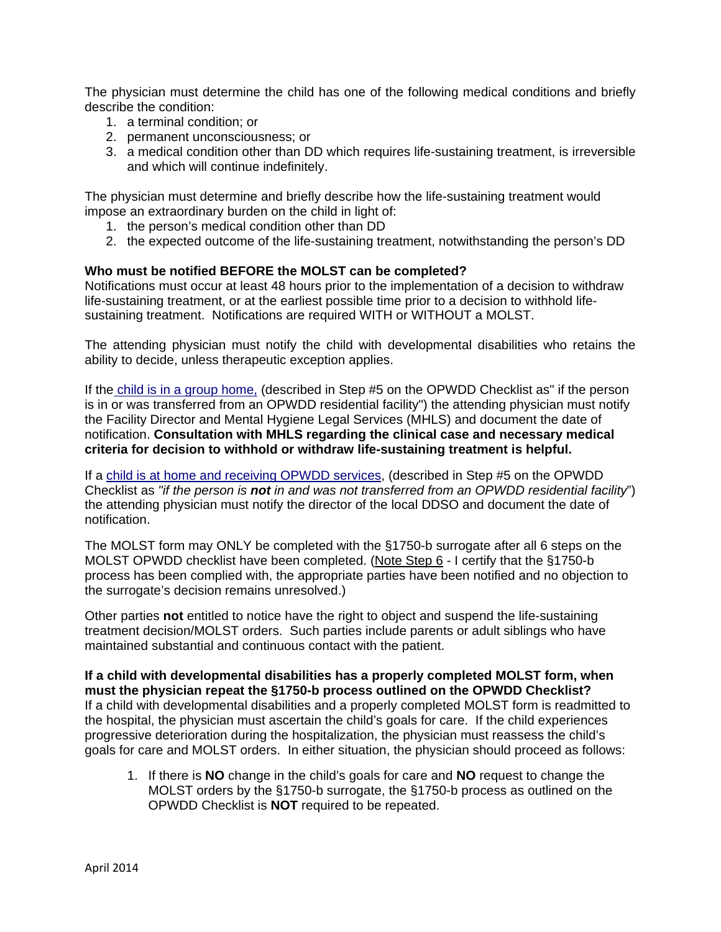The physician must determine the child has one of the following medical conditions and briefly describe the condition:

- 1. a terminal condition; or
- 2. permanent unconsciousness; or
- 3. a medical condition other than DD which requires life-sustaining treatment, is irreversible and which will continue indefinitely.

The physician must determine and briefly describe how the life-sustaining treatment would impose an extraordinary burden on the child in light of:

- 1. the person's medical condition other than DD
- 2. the expected outcome of the life-sustaining treatment, notwithstanding the person's DD

# **Who must be notified BEFORE the MOLST can be completed?**

Notifications must occur at least 48 hours prior to the implementation of a decision to withdraw life-sustaining treatment, or at the earliest possible time prior to a decision to withhold lifesustaining treatment. Notifications are required WITH or WITHOUT a MOLST.

The attending physician must notify the child with developmental disabilities who retains the ability to decide, unless therapeutic exception applies.

If the child is in a group home, (described in Step #5 on the OPWDD Checklist as" if the person is in or was transferred from an OPWDD residential facility") the attending physician must notify the Facility Director and Mental Hygiene Legal Services (MHLS) and document the date of notification. **Consultation with MHLS regarding the clinical case and necessary medical criteria for decision to withhold or withdraw life-sustaining treatment is helpful.**

If a child is at home and receiving OPWDD services, (described in Step #5 on the OPWDD Checklist as *"if the person is not in and was not transferred from an OPWDD residential facility*") the attending physician must notify the director of the local DDSO and document the date of notification.

The MOLST form may ONLY be completed with the §1750-b surrogate after all 6 steps on the MOLST OPWDD checklist have been completed. (Note Step 6 - I certify that the §1750-b process has been complied with, the appropriate parties have been notified and no objection to the surrogate's decision remains unresolved.)

Other parties **not** entitled to notice have the right to object and suspend the life-sustaining treatment decision/MOLST orders. Such parties include parents or adult siblings who have maintained substantial and continuous contact with the patient.

**If a child with developmental disabilities has a properly completed MOLST form, when must the physician repeat the §1750-b process outlined on the OPWDD Checklist?** If a child with developmental disabilities and a properly completed MOLST form is readmitted to the hospital, the physician must ascertain the child's goals for care. If the child experiences progressive deterioration during the hospitalization, the physician must reassess the child's goals for care and MOLST orders. In either situation, the physician should proceed as follows:

1. If there is **NO** change in the child's goals for care and **NO** request to change the MOLST orders by the §1750-b surrogate, the §1750-b process as outlined on the OPWDD Checklist is **NOT** required to be repeated.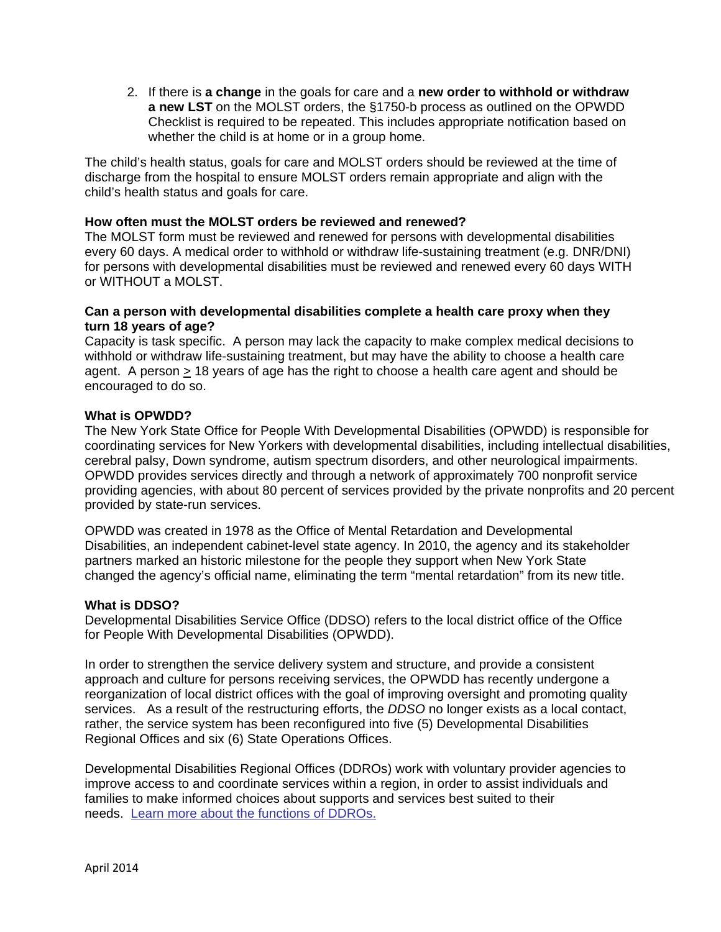2. If there is **a change** in the goals for care and a **new order to withhold or withdraw a new LST** on the MOLST orders, the §1750-b process as outlined on the OPWDD Checklist is required to be repeated. This includes appropriate notification based on whether the child is at home or in a group home.

The child's health status, goals for care and MOLST orders should be reviewed at the time of discharge from the hospital to ensure MOLST orders remain appropriate and align with the child's health status and goals for care.

### **How often must the MOLST orders be reviewed and renewed?**

The MOLST form must be reviewed and renewed for persons with developmental disabilities every 60 days. A medical order to withhold or withdraw life-sustaining treatment (e.g. DNR/DNI) for persons with developmental disabilities must be reviewed and renewed every 60 days WITH or WITHOUT a MOLST.

### **Can a person with developmental disabilities complete a health care proxy when they turn 18 years of age?**

Capacity is task specific. A person may lack the capacity to make complex medical decisions to withhold or withdraw life-sustaining treatment, but may have the ability to choose a health care agent. A person > 18 years of age has the right to choose a health care agent and should be encouraged to do so.

#### **What is OPWDD?**

The New York State Office for People With Developmental Disabilities (OPWDD) is responsible for coordinating services for New Yorkers with developmental disabilities, including intellectual disabilities, cerebral palsy, Down syndrome, autism spectrum disorders, and other neurological impairments. OPWDD provides services directly and through a network of approximately 700 nonprofit service providing agencies, with about 80 percent of services provided by the private nonprofits and 20 percent provided by state-run services.

OPWDD was created in 1978 as the Office of Mental Retardation and Developmental Disabilities, an independent cabinet-level state agency. In 2010, the agency and its stakeholder partners marked an historic milestone for the people they support when New York State changed the agency's official name, eliminating the term "mental retardation" from its new title.

#### **What is DDSO?**

Developmental Disabilities Service Office (DDSO) refers to the local district office of the Office for People With Developmental Disabilities (OPWDD).

In order to strengthen the service delivery system and structure, and provide a consistent approach and culture for persons receiving services, the OPWDD has recently undergone a reorganization of local district offices with the goal of improving oversight and promoting quality services. As a result of the restructuring efforts, the *DDSO* no longer exists as a local contact, rather, the service system has been reconfigured into five (5) Developmental Disabilities Regional Offices and six (6) State Operations Offices.

Developmental Disabilities Regional Offices (DDROs) work with voluntary provider agencies to improve access to and coordinate services within a region, in order to assist individuals and families to make informed choices about supports and services best suited to their needs. Learn more about the functions of DDROs.